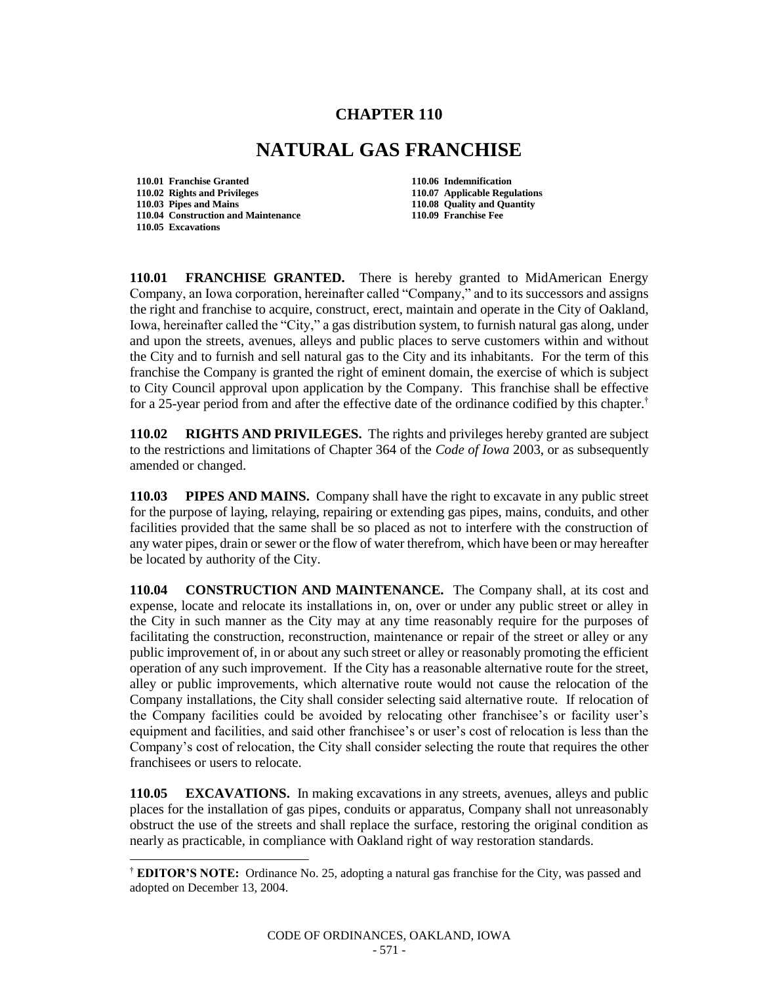## **CHAPTER 110**

## **NATURAL GAS FRANCHISE**

**110.01 Franchise Granted 110.06 Indemnification 110.02 Rights and Privileges 110.07 Applicable Regulations 110.04 Construction and Maintenance 110.09 Franchise Fee 110.05 Excavations**

l

**110.08 Quality and Quantity** 

**110.01 FRANCHISE GRANTED.** There is hereby granted to MidAmerican Energy Company, an Iowa corporation, hereinafter called "Company," and to its successors and assigns the right and franchise to acquire, construct, erect, maintain and operate in the City of Oakland, Iowa, hereinafter called the "City," a gas distribution system, to furnish natural gas along, under and upon the streets, avenues, alleys and public places to serve customers within and without the City and to furnish and sell natural gas to the City and its inhabitants. For the term of this franchise the Company is granted the right of eminent domain, the exercise of which is subject to City Council approval upon application by the Company. This franchise shall be effective for a 25-year period from and after the effective date of the ordinance codified by this chapter.<sup>†</sup>

**110.02 RIGHTS AND PRIVILEGES.** The rights and privileges hereby granted are subject to the restrictions and limitations of Chapter 364 of the *Code of Iowa* 2003, or as subsequently amended or changed.

**110.03 PIPES AND MAINS.** Company shall have the right to excavate in any public street for the purpose of laying, relaying, repairing or extending gas pipes, mains, conduits, and other facilities provided that the same shall be so placed as not to interfere with the construction of any water pipes, drain or sewer or the flow of water therefrom, which have been or may hereafter be located by authority of the City.

**110.04 CONSTRUCTION AND MAINTENANCE.** The Company shall, at its cost and expense, locate and relocate its installations in, on, over or under any public street or alley in the City in such manner as the City may at any time reasonably require for the purposes of facilitating the construction, reconstruction, maintenance or repair of the street or alley or any public improvement of, in or about any such street or alley or reasonably promoting the efficient operation of any such improvement. If the City has a reasonable alternative route for the street, alley or public improvements, which alternative route would not cause the relocation of the Company installations, the City shall consider selecting said alternative route. If relocation of the Company facilities could be avoided by relocating other franchisee's or facility user's equipment and facilities, and said other franchisee's or user's cost of relocation is less than the Company's cost of relocation, the City shall consider selecting the route that requires the other franchisees or users to relocate.

**110.05 EXCAVATIONS.** In making excavations in any streets, avenues, alleys and public places for the installation of gas pipes, conduits or apparatus, Company shall not unreasonably obstruct the use of the streets and shall replace the surface, restoring the original condition as nearly as practicable, in compliance with Oakland right of way restoration standards.

<sup>†</sup> **EDITOR'S NOTE:** Ordinance No. 25, adopting a natural gas franchise for the City, was passed and adopted on December 13, 2004.